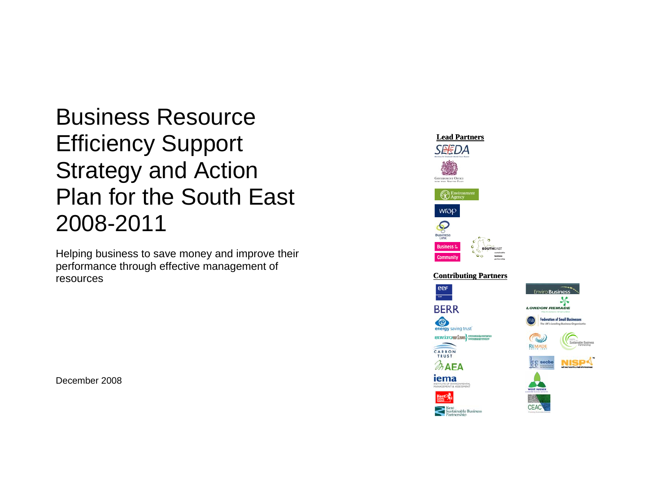# Business Resource Efficiency Support Strategy and Action Plan for the South East 2008-2011

Helping business to save money and improve their performance through effective management of resources

December 2008



### **Contributing Partners**

able Business



CARBON<br>TRUST

 $\n *A E*$ iema

energy saving trust





**Enviro Business** 

ederation of Small Businesses

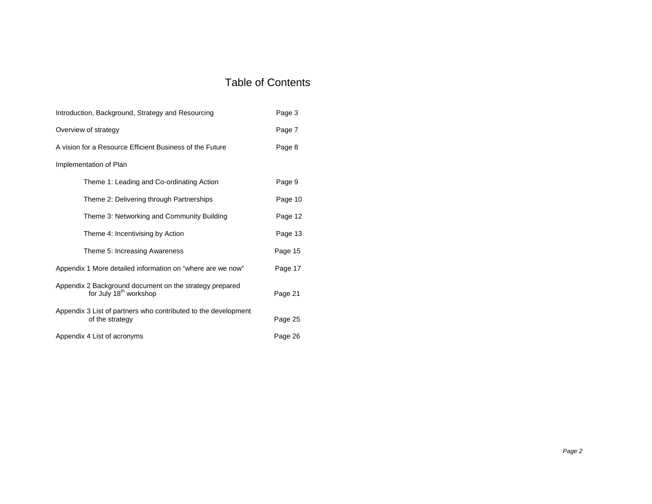# Table of Contents

| Introduction, Background, Strategy and Resourcing                                             |         |  |  |  |  |
|-----------------------------------------------------------------------------------------------|---------|--|--|--|--|
| Overview of strategy                                                                          | Page 7  |  |  |  |  |
| A vision for a Resource Efficient Business of the Future                                      | Page 8  |  |  |  |  |
| Implementation of Plan                                                                        |         |  |  |  |  |
| Theme 1: Leading and Co-ordinating Action                                                     | Page 9  |  |  |  |  |
| Theme 2: Delivering through Partnerships                                                      | Page 10 |  |  |  |  |
| Theme 3: Networking and Community Building                                                    | Page 12 |  |  |  |  |
| Theme 4: Incentivising by Action                                                              | Page 13 |  |  |  |  |
| Theme 5: Increasing Awareness                                                                 | Page 15 |  |  |  |  |
| Appendix 1 More detailed information on "where are we now"                                    | Page 17 |  |  |  |  |
| Appendix 2 Background document on the strategy prepared<br>for July 18 <sup>th</sup> workshop | Page 21 |  |  |  |  |
| Appendix 3 List of partners who contributed to the development<br>of the strategy             | Page 25 |  |  |  |  |
| Appendix 4 List of acronyms                                                                   | Page 26 |  |  |  |  |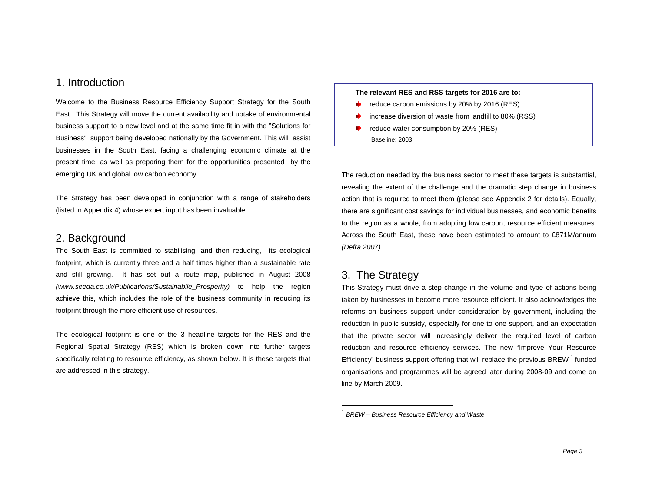# 1. Introduction

Welcome to the Business Resource Efficiency Support Strategy for the South East. This Strategy will move the current availability and uptake of environmental business support to a new level and at the same time fit in with the "Solutions for Business" support being developed nationally by the Government. This will assist businesses in the South East, facing a challenging economic climate at the present time, as well as preparing them for the opportunities presented by the emerging UK and global low carbon economy.

The Strategy has been developed in conjunction with a range of stakeholders (listed in Appendix 4) whose expert input has been invaluable.

## 2. Background

The South East is committed to stabilising, and then reducing, its ecological footprint, which is currently three and a half times higher than a sustainable rate and still growing. It has set out a route map, published in August 2008 *(www.seeda.co.uk/Publications/Sustainabile\_Prosperity)* to help the region achieve this, which includes the role of the business community in reducing its footprint through the more efficient use of resources.

The ecological footprint is one of the 3 headline targets for the RES and the Regional Spatial Strategy (RSS) which is broken down into further targets specifically relating to resource efficiency, as shown below. It is these targets that are addressed in this strategy.

#### **The relevant RES and RSS targets for 2016 are to:**

- reduce carbon emissions by 20% by 2016 (RES)
- increase diversion of waste from landfill to 80% (RSS)
- reduce water consumption by 20% (RES) Baseline: 2003

The reduction needed by the business sector to meet these targets is substantial, revealing the extent of the challenge and the dramatic step change in business action that is required to meet them (please see Appendix 2 for details). Equally, there are significant cost savings for individual businesses, and economic benefits to the region as a whole, from adopting low carbon, resource efficient measures. Across the South East, these have been estimated to amount to £871M/annum *(Defra 2007)*

# 3. The Strategy

This Strategy must drive a step change in the volume and type of actions being taken by businesses to become more resource efficient. It also acknowledges the reforms on business support under consideration by government, including the reduction in public subsidy, especially for one to one support, and an expectation that the private sector will increasingly deliver the required level of carbon reduction and resource efficiency services. The new "Improve Your Resource Efficiency" business support offering that will replace the previous BREW <sup>1</sup> funded organisations and programmes will be agreed later during 2008-09 and come on line by March 2009.

<sup>1</sup> *BREW – Business Resource Efficiency and Waste*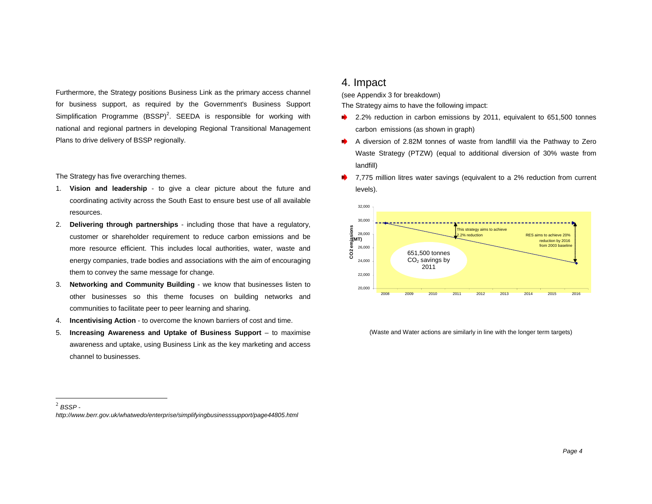Furthermore, the Strategy positions Business Link as the primary access channel for business support, as required by the Government's Business Support Simplification Programme  $(BSSP)^2$ . SEEDA is responsible for working with national and regional partners in developing Regional Transitional Management Plans to drive delivery of BSSP regionally.

The Strategy has five overarching themes.

- 1. **Vision and leadership** to give a clear picture about the future and coordinating activity across the South East to ensure best use of all available resources.
- 2. **Delivering through partnerships** including those that have a regulatory, customer or shareholder requirement to reduce carbon emissions and be more resource efficient. This includes local authorities, water, waste and energy companies, trade bodies and associations with the aim of encouraging them to convey the same message for change.
- 3. **Networking and Community Building** we know that businesses listen to other businesses so this theme focuses on building networks and communities to facilitate peer to peer learning and sharing.
- 4. **Incentivising Action** to overcome the known barriers of cost and time.
- 5. **Increasing Awareness and Uptake of Business Support** to maximise awareness and uptake, using Business Link as the key marketing and access channel to businesses.

### 4. Impact

(see Appendix 3 for breakdown)

The Strategy aims to have the following impact:

- **■** 2.2% reduction in carbon emissions by 2011, equivalent to 651,500 tonnes carbon emissions (as shown in graph)
- A diversion of 2.82M tonnes of waste from landfill via the Pathway to Zero Waste Strategy (PTZW) (equal to additional diversion of 30% waste from landfill)
- 7,775 million litres water savings (equivalent to a 2% reduction from current levels).



(Waste and Water actions are similarly in line with the longer term targets)

 $^2$  BSSP -

*http://www.berr.gov.uk/whatwedo/enterprise/simplifyingbusinesssupport/page44805.html*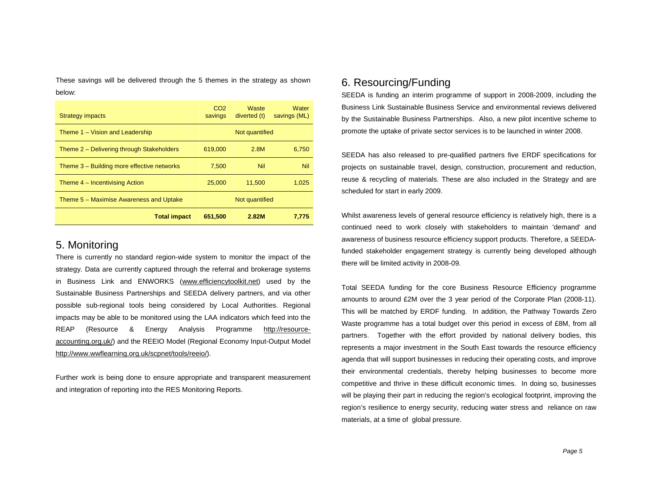These savings will be delivered through the 5 themes in the strategy as shown below:

| <b>Strategy impacts</b>                    | CO <sub>2</sub><br>savings | <b>Waste</b><br>diverted (t) | Water<br>savings (ML) |  |
|--------------------------------------------|----------------------------|------------------------------|-----------------------|--|
| Theme 1 – Vision and Leadership            | Not quantified             |                              |                       |  |
| Theme 2 - Delivering through Stakeholders  | 619,000                    | 2.8M                         | 6.750                 |  |
| Theme 3 – Building more effective networks | 7.500                      | Nil                          | Nil                   |  |
| Theme 4 – Incentivising Action             | 25,000                     | 11.500                       | 1,025                 |  |
| Theme 5 – Maximise Awareness and Uptake    | Not quantified             |                              |                       |  |
| <b>Total impact</b>                        | 651.500                    | 2.82M                        | 7.775                 |  |

### 5. Monitoring

There is currently no standard region-wide system to monitor the impact of the strategy. Data are currently captured through the referral and brokerage systems in Business Link and ENWORKS (www.efficiencytoolkit.net) used by the Sustainable Business Partnerships and SEEDA delivery partners, and via other possible sub-regional tools being considered by Local Authorities. Regional impacts may be able to be monitored using the LAA indicators which feed into the REAP (Resource & Energy Analysis Programme http://resourceaccounting.org.uk/) and the REEIO Model (Regional Economy Input-Output Model http://www.wwflearning.org.uk/scpnet/tools/reeio/).

Further work is being done to ensure appropriate and transparent measurement and integration of reporting into the RES Monitoring Reports.

### 6. Resourcing/Funding

SEEDA is funding an interim programme of support in 2008-2009, including the Business Link Sustainable Business Service and environmental reviews delivered by the Sustainable Business Partnerships. Also, a new pilot incentive scheme to promote the uptake of private sector services is to be launched in winter 2008.

SEEDA has also released to pre-qualified partners five ERDF specifications for projects on sustainable travel, design, construction, procurement and reduction, reuse & recycling of materials. These are also included in the Strategy and are scheduled for start in early 2009.

Whilst awareness levels of general resource efficiency is relatively high, there is a continued need to work closely with stakeholders to maintain 'demand' and awareness of business resource efficiency support products. Therefore, a SEEDAfunded stakeholder engagement strategy is currently being developed although there will be limited activity in 2008-09.

Total SEEDA funding for the core Business Resource Efficiency programme amounts to around £2M over the 3 year period of the Corporate Plan (2008-11). This will be matched by ERDF funding. In addition, the Pathway Towards Zero Waste programme has a total budget over this period in excess of £8M, from all partners. Together with the effort provided by national delivery bodies, this represents a major investment in the South East towards the resource efficiency agenda that will support businesses in reducing their operating costs, and improve their environmental credentials, thereby helping businesses to become more competitive and thrive in these difficult economic times. In doing so, businesses will be playing their part in reducing the region's ecological footprint, improving the region's resilience to energy security, reducing water stress and reliance on raw materials, at a time of global pressure.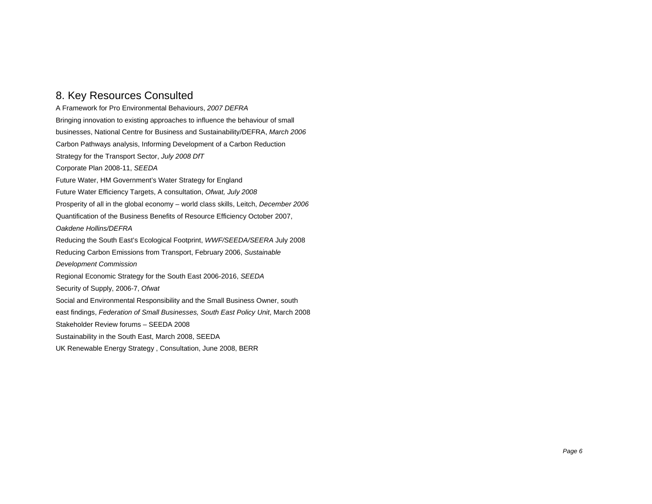# 8. Key Resources Consulted

A Framework for Pro Environmental Behaviours, *2007 DEFRA* Bringing innovation to existing approaches to influence the behaviour of small businesses, National Centre for Business and Sustainability/DEFRA, *March 2006* Carbon Pathways analysis, Informing Development of a Carbon Reduction Strategy for the Transport Sector, *July 2008 DfT* Corporate Plan 2008-11, *SEEDA* Future Water, HM Government's Water Strategy for England Future Water Efficiency Targets, A consultation, *Ofwat, July 2008* Prosperity of all in the global economy – world class skills, Leitch, *December 2006* Quantification of the Business Benefits of Resource Efficiency October 2007, *Oakdene Hollins/DEFRA*Reducing the South East's Ecological Footprint, *WWF/SEEDA/SEERA* July 2008 Reducing Carbon Emissions from Transport, February 2006, *Sustainable Development Commission*  Regional Economic Strategy for the South East 2006-2016, *SEEDA*  Security of Supply, 2006-7, *Ofwat* Social and Environmental Responsibility and the Small Business Owner, south east findings, *Federation of Small Businesses, South East Policy Unit*, March 2008 Stakeholder Review forums – SEEDA 2008 Sustainability in the South East, March 2008, SEEDA UK Renewable Energy Strategy , Consultation, June 2008, BERR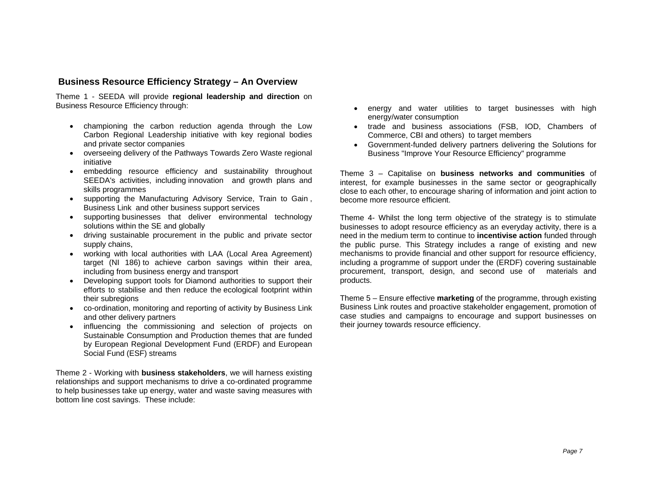### **Business Resource Efficiency Strategy – An Overview**

Theme 1 - SEEDA will provide **regional leadership and direction** on Business Resource Efficiency through:

- championing the carbon reduction agenda through the Low Carbon Regional Leadership initiative with key regional bodies and private sector companies
- overseeing delivery of the Pathways Towards Zero Waste regional initiative
- embedding resource efficiency and sustainability throughout SEEDA's activities, including innovation and growth plans and skills programmes
- supporting the Manufacturing Advisory Service, Train to Gain , Business Link and other business support services
- supporting businesses that deliver environmental technology solutions within the SE and globally
- driving sustainable procurement in the public and private sector supply chains,
- working with local authorities with LAA (Local Area Agreement) target (NI 186) to achieve carbon savings within their area, including from business energy and transport
- Developing support tools for Diamond authorities to support their efforts to stabilise and then reduce the ecological footprint within their subregions
- co-ordination, monitoring and reporting of activity by Business Link and other delivery partners
- influencing the commissioning and selection of projects on Sustainable Consumption and Production themes that are funded by European Regional Development Fund (ERDF) and European Social Fund (ESF) streams

Theme 2 - Working with **business stakeholders**, we will harness existing relationships and support mechanisms to drive a co-ordinated programme to help businesses take up energy, water and waste saving measures with bottom line cost savings. These include:

- energy and water utilities to target businesses with high energy/water consumption
- trade and business associations (FSB, IOD, Chambers of Commerce, CBI and others) to target members
- Government-funded delivery partners delivering the Solutions for Business "Improve Your Resource Efficiency" programme

Theme 3 – Capitalise on **business networks and communities** of interest, for example businesses in the same sector or geographically close to each other, to encourage sharing of information and joint action to become more resource efficient.

Theme 4- Whilst the long term objective of the strategy is to stimulate businesses to adopt resource efficiency as an everyday activity, there is a need in the medium term to continue to **incentivise action** funded through the public purse. This Strategy includes a range of existing and new mechanisms to provide financial and other support for resource efficiency, including a programme of support under the (ERDF) covering sustainable procurement, transport, design, and second use of materials and products.

Theme 5 – Ensure effective **marketing** of the programme, through existing Business Link routes and proactive stakeholder engagement, promotion of case studies and campaigns to encourage and support businesses on their journey towards resource efficiency.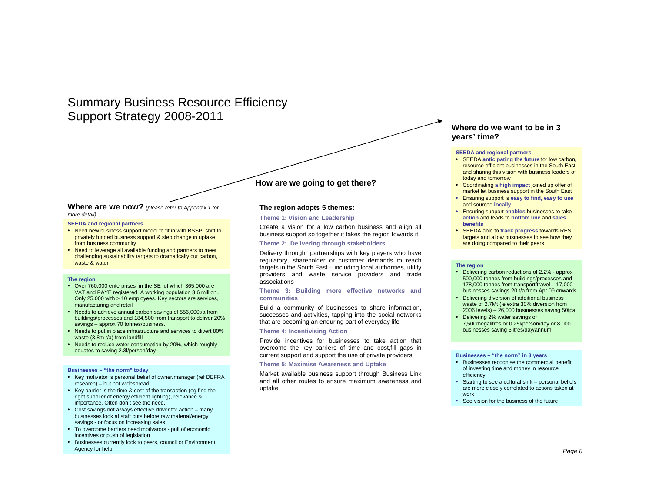# Summary Business Resource Efficiency Support Strategy 2008-2011

### **How are we goin g to get there?**

**Where are we now?** *(please refer to Appendix 1 for more detail)*

#### **SEEDA and regional partners**

- Need new business support model to fit in with BSSP, shift to privately funded business support & step change in uptake from business community
- Need to leverage all available funding and partners to meet challenging sustainability targets to dramatically cut carbon, waste & water

#### **The region**

- Over 760,000 enterprises in the SE of which 365,000 are VAT and PAYE registered. A working population 3.6 million.. Only 25,000 with > 10 employees. Key sectors are services, manufacturing and retail
- Needs to achieve annual carbon savings of 556,000t/a from buildings/processes and 184,500 from transport to deliver 20% savings – approx 70 tonnes/business.
- Needs to put in place infrastructure and services to divert 80% waste (3.8m t/a) from landfill
- Needs to reduce water consumption by 20%, which roughly equates to saving 2.3l/person/day

#### **Businesses – "the norm" today**

- Key motivator is personal belief of owner/manager (ref DEFRA research) – but not widespread
- Key barrier is the time & cost of the transaction (eg find the right supplier of energy efficient lighting), relevance & importance. Often don't see the need.
- Cost savings not always effective driver for action many businesses look at staff cuts before raw material/energy savings - or focus on increasing sales
- To overcome barriers need motivators pull of economic incentives or push of legislation
- Businesses currently look to peers, council or Environment Agency for help

#### **The region adopts 5 themes:**

#### **Theme 1: Vision and Leadership**

Create a vision for a low carbon business and align all business support so together it takes the region towards it.

#### **Theme 2: Delivering through stakeholders**

Delivery through partnerships with key players who have regulatory, shareholder or customer demands to reach targets in the South East – including local authorities, utility providers and waste service providers and trade associations

#### **Theme 3: Building more effective networks and communities**

Build a community of businesses to share information, successes and activities, tapping into the social networks that are becoming an enduring part of everyday life

#### **Theme 4: Incentivising Action**

Provide incentives for businesses to take action that overcome the key barriers of time and cost,fill gaps in current support and support the use of private providers

#### **Theme 5: Maximise Awareness and Uptake**

Market available business support through Business Link and all other routes to ensure maximum awareness and uptake

### **Where do we want to be in 3 years' time?**

#### **SEEDA and regional partners**

- SEEDA **anticipating the future** for low carbon, resource efficient businesses in the South East and sharing this vision with business leaders of today and tomorrow
- Coordinating **a high impact** joined up offer of market let business support in the South East
- Ensuring support is **easy to find, easy to use**  and sourced **locally**
- Ensuring support **enables** businesses to take **action** and leads to **bottom line** and **sales benefits**
- SEEDA able to **track progress** towards RES targets and allow businesses to see how they are doing compared to their peers

#### **The region**

- Delivering carbon reductions of 2.2% approx 500,000 tonnes from buildings/processes and 178,000 tonnes from transport/travel – 17,000 businesses savings 20 t/a from Apr 09 onwards
- Delivering diversion of additional business waste of 2.7Mt (ie extra 30% diversion from 2006 levels) – 26,000 businesses saving 50tpa
- Delivering 2% water savings of 7,500megalitres or 0.25l/person/day or 8,000 businesses saving 5litres/day/annum

#### **Businesses – "the norm" in 3 years**

- Businesses recognise the commercial benefit of investing time and money in resource efficiency.
- Starting to see a cultural shift personal beliefs are more closely correlated to actions taken at work
- See vision for the business of the future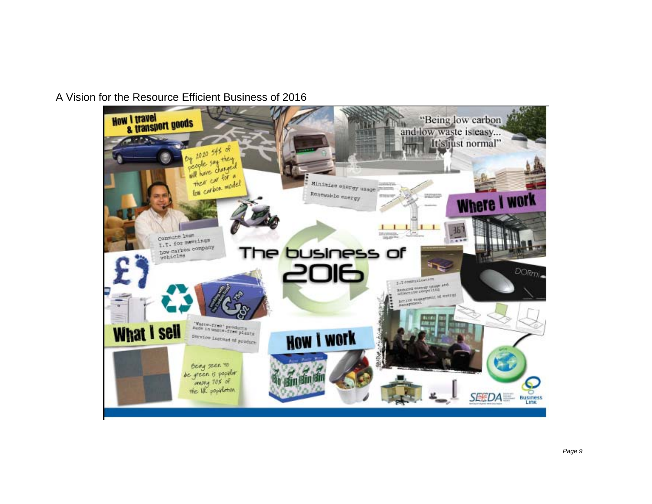A Vision for the Resource Efficient Business of 2016

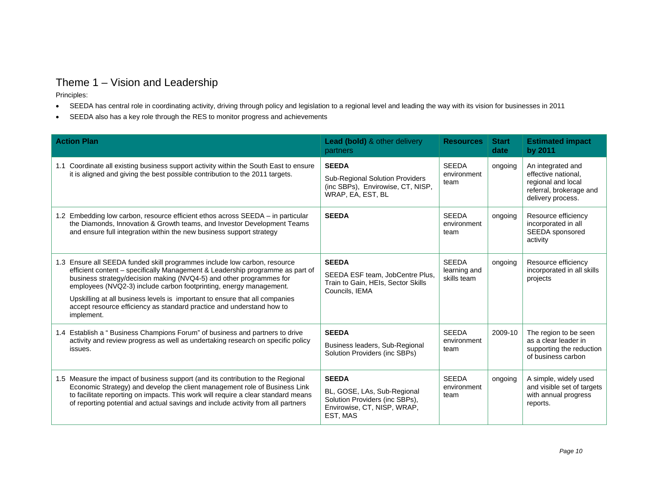# Theme 1 – Vision and Leadership

- SEEDA has central role in coordinating activity, driving through policy and legislation to a regional level and leading the way with its vision for businesses in 2011
- SEEDA also has a key role through the RES to monitor progress and achievements

| <b>Action Plan</b>                                                                                                                                                                                                                                                                                                                                                                                                                                                            | Lead (bold) & other delivery<br>partners                                                                                 | <b>Resources</b>                            | <b>Start</b><br>date | <b>Estimated impact</b><br>by 2011                                                                             |
|-------------------------------------------------------------------------------------------------------------------------------------------------------------------------------------------------------------------------------------------------------------------------------------------------------------------------------------------------------------------------------------------------------------------------------------------------------------------------------|--------------------------------------------------------------------------------------------------------------------------|---------------------------------------------|----------------------|----------------------------------------------------------------------------------------------------------------|
| Coordinate all existing business support activity within the South East to ensure<br>1.1<br>it is aligned and giving the best possible contribution to the 2011 targets.                                                                                                                                                                                                                                                                                                      | <b>SEEDA</b><br><b>Sub-Regional Solution Providers</b><br>(inc SBPs), Envirowise, CT, NISP,<br>WRAP, EA, EST, BL         | <b>SEEDA</b><br>environment<br>team         | ongoing              | An integrated and<br>effective national.<br>regional and local<br>referral, brokerage and<br>delivery process. |
| 1.2 Embedding low carbon, resource efficient ethos across SEEDA - in particular<br>the Diamonds, Innovation & Growth teams, and Investor Development Teams<br>and ensure full integration within the new business support strategy                                                                                                                                                                                                                                            | <b>SEEDA</b>                                                                                                             | <b>SEEDA</b><br>environment<br>team         | ongoing              | Resource efficiency<br>incorporated in all<br>SEEDA sponsored<br>activity                                      |
| 1.3 Ensure all SEEDA funded skill programmes include low carbon, resource<br>efficient content – specifically Management & Leadership programme as part of<br>business strategy/decision making (NVQ4-5) and other programmes for<br>employees (NVQ2-3) include carbon footprinting, energy management.<br>Upskilling at all business levels is important to ensure that all companies<br>accept resource efficiency as standard practice and understand how to<br>implement. | <b>SEEDA</b><br>SEEDA ESF team, JobCentre Plus,<br>Train to Gain, HEIs, Sector Skills<br>Councils, IEMA                  | <b>SEEDA</b><br>learning and<br>skills team | ongoing              | Resource efficiency<br>incorporated in all skills<br>projects                                                  |
| 1.4 Establish a "Business Champions Forum" of business and partners to drive<br>activity and review progress as well as undertaking research on specific policy<br>issues.                                                                                                                                                                                                                                                                                                    | <b>SEEDA</b><br>Business leaders, Sub-Regional<br>Solution Providers (inc SBPs)                                          | <b>SEEDA</b><br>environment<br>team         | 2009-10              | The region to be seen<br>as a clear leader in<br>supporting the reduction<br>of business carbon                |
| 1.5 Measure the impact of business support (and its contribution to the Regional<br>Economic Strategy) and develop the client management role of Business Link<br>to facilitate reporting on impacts. This work will require a clear standard means<br>of reporting potential and actual savings and include activity from all partners                                                                                                                                       | <b>SEEDA</b><br>BL, GOSE, LAs, Sub-Regional<br>Solution Providers (inc SBPs),<br>Envirowise, CT, NISP, WRAP,<br>EST, MAS | <b>SEEDA</b><br>environment<br>team         | ongoing              | A simple, widely used<br>and visible set of targets<br>with annual progress<br>reports.                        |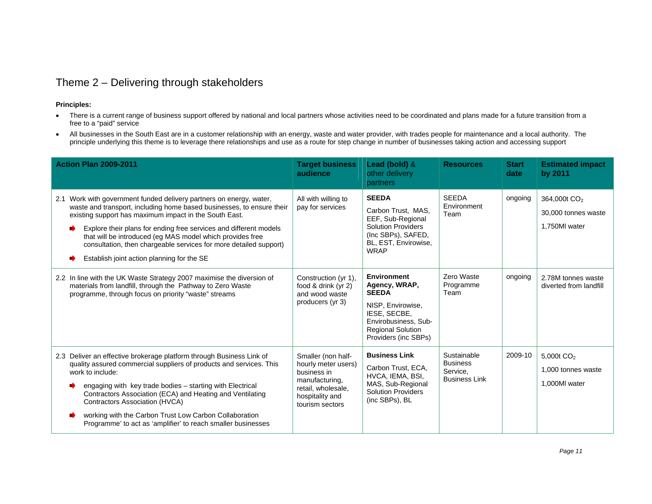# Theme 2 – Delivering through stakeholders

- There is a current range of business support offered by national and local partners whose activities need to be coordinated and plans made for a future transition from a free to a "paid" service
- All businesses in the South East are in a customer relationship with an energy, waste and water provider, with trades people for maintenance and a local authority. The principle underlying this theme is to leverage there relationships and use as a route for step change in number of businesses taking action and accessing support

| <b>Action Plan 2009-2011</b>                                                                                                                                                                                                                                                                                                                                                                                                                                        | <b>Target business</b><br>audience                                                                                                     | Lead (bold) $&$<br>other delivery<br>partners                                                                                                                        | <b>Resources</b>                                                   | <b>Start</b><br>date | <b>Estimated impact</b><br>by 2011                               |
|---------------------------------------------------------------------------------------------------------------------------------------------------------------------------------------------------------------------------------------------------------------------------------------------------------------------------------------------------------------------------------------------------------------------------------------------------------------------|----------------------------------------------------------------------------------------------------------------------------------------|----------------------------------------------------------------------------------------------------------------------------------------------------------------------|--------------------------------------------------------------------|----------------------|------------------------------------------------------------------|
| Work with government funded delivery partners on energy, water,<br>2.1<br>waste and transport, including home based businesses, to ensure their<br>existing support has maximum impact in the South East.<br>Explore their plans for ending free services and different models<br>∙<br>that will be introduced (eg MAS model which provides free<br>consultation, then chargeable services for more detailed support)<br>Establish joint action planning for the SE | All with willing to<br>pay for services                                                                                                | <b>SEEDA</b><br>Carbon Trust, MAS,<br>EEF, Sub-Regional<br><b>Solution Providers</b><br>(Inc SBPs), SAFED,<br>BL, EST, Envirowise,<br><b>WRAP</b>                    | <b>SEEDA</b><br>Environment<br>Team                                | ongoing              | 364,000t CO <sub>2</sub><br>30,000 tonnes waste<br>1,750MI water |
| 2.2 In line with the UK Waste Strategy 2007 maximise the diversion of<br>materials from landfill, through the Pathway to Zero Waste<br>programme, through focus on priority "waste" streams                                                                                                                                                                                                                                                                         | Construction (yr 1),<br>food & drink (yr 2)<br>and wood waste<br>producers (yr 3)                                                      | <b>Environment</b><br>Agency, WRAP,<br><b>SEEDA</b><br>NISP, Envirowise,<br>IESE, SECBE.<br>Envirobusiness, Sub-<br><b>Regional Solution</b><br>Providers (inc SBPs) | Zero Waste<br>Programme<br>Team                                    | ongoing              | 2.78M tonnes waste<br>diverted from landfill                     |
| 2.3 Deliver an effective brokerage platform through Business Link of<br>quality assured commercial suppliers of products and services. This<br>work to include:<br>engaging with key trade bodies - starting with Electrical<br>Contractors Association (ECA) and Heating and Ventilating<br>Contractors Association (HVCA)<br>working with the Carbon Trust Low Carbon Collaboration<br>∙<br>Programme' to act as 'amplifier' to reach smaller businesses          | Smaller (non half-<br>hourly meter users)<br>business in<br>manufacturing,<br>retail, wholesale,<br>hospitality and<br>tourism sectors | <b>Business Link</b><br>Carbon Trust, ECA,<br>HVCA, IEMA, BSI,<br>MAS, Sub-Regional<br><b>Solution Providers</b><br>(inc SBPs), BL                                   | Sustainable<br><b>Business</b><br>Service.<br><b>Business Link</b> | 2009-10              | 5,000t CO <sub>2</sub><br>1,000 tonnes waste<br>1,000MI water    |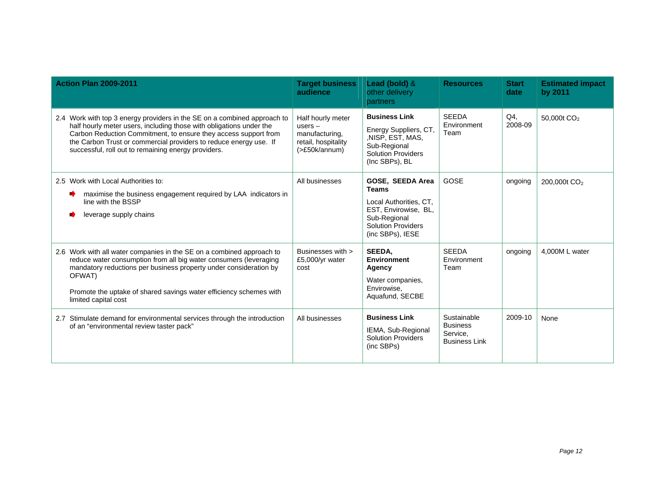| <b>Action Plan 2009-2011</b>                                                                                                                                                                                                                                                                                                                   | <b>Target business</b><br>audience                                                                 | Lead (bold) &<br>other delivery<br><b>partners</b>                                                                                                  | <b>Resources</b>                                                   | <b>Start</b><br>date | <b>Estimated impact</b><br>by 2011 |
|------------------------------------------------------------------------------------------------------------------------------------------------------------------------------------------------------------------------------------------------------------------------------------------------------------------------------------------------|----------------------------------------------------------------------------------------------------|-----------------------------------------------------------------------------------------------------------------------------------------------------|--------------------------------------------------------------------|----------------------|------------------------------------|
| 2.4 Work with top 3 energy providers in the SE on a combined approach to<br>half hourly meter users, including those with obligations under the<br>Carbon Reduction Commitment, to ensure they access support from<br>the Carbon Trust or commercial providers to reduce energy use. If<br>successful, roll out to remaining energy providers. | Half hourly meter<br>$users -$<br>manufacturing,<br>retail, hospitality<br>$($ >£50 $k$ /annum $)$ | <b>Business Link</b><br>Energy Suppliers, CT,<br>,NISP, EST, MAS,<br>Sub-Regional<br><b>Solution Providers</b><br>(Inc SBPs), BL                    | <b>SFFDA</b><br>Environment<br>Team                                | Q4<br>2008-09        | 50,000t CO <sub>2</sub>            |
| 2.5 Work with Local Authorities to:<br>maximise the business engagement required by LAA indicators in<br>line with the BSSP<br>leverage supply chains                                                                                                                                                                                          | All businesses                                                                                     | GOSE, SEEDA Area<br><b>Teams</b><br>Local Authorities, CT.<br>EST, Envirowise, BL,<br>Sub-Regional<br><b>Solution Providers</b><br>(inc SBPs), IESE | GOSE                                                               | ongoing              | 200,000t CO <sub>2</sub>           |
| 2.6 Work with all water companies in the SE on a combined approach to<br>reduce water consumption from all big water consumers (leveraging<br>mandatory reductions per business property under consideration by<br>OFWAT)<br>Promote the uptake of shared savings water efficiency schemes with<br>limited capital cost                        | Businesses with ><br>£5,000/yr water<br>cost                                                       | SEEDA,<br><b>Environment</b><br>Agency<br>Water companies,<br>Envirowise.<br>Aquafund, SECBE                                                        | <b>SEEDA</b><br>Environment<br>Team                                | ongoing              | 4,000M L water                     |
| 2.7 Stimulate demand for environmental services through the introduction<br>of an "environmental review taster pack"                                                                                                                                                                                                                           | All businesses                                                                                     | <b>Business Link</b><br>IEMA, Sub-Regional<br><b>Solution Providers</b><br>(inc SBPs)                                                               | Sustainable<br><b>Business</b><br>Service,<br><b>Business Link</b> | 2009-10              | None                               |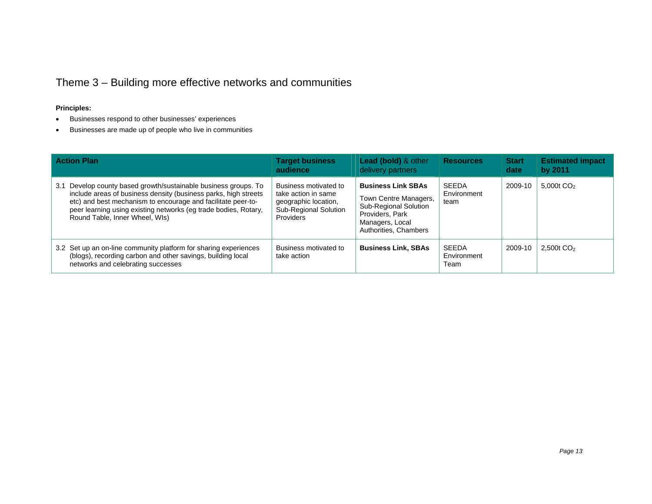# Theme 3 – Building more effective networks and communities

- Businesses respond to other businesses' experiences
- Businesses are made up of people who live in communities

| <b>Action Plan</b>                                                                                                                                                                                                                                                                                         | <b>Target business</b><br>audience                                                                         | Lead (bold) & other<br>delivery partners                                                                                                   | <b>Resources</b>                    | <b>Start</b><br>date | <b>Estimated impact</b><br>by 2011 |
|------------------------------------------------------------------------------------------------------------------------------------------------------------------------------------------------------------------------------------------------------------------------------------------------------------|------------------------------------------------------------------------------------------------------------|--------------------------------------------------------------------------------------------------------------------------------------------|-------------------------------------|----------------------|------------------------------------|
| Develop county based growth/sustainable business groups. To<br>3.1<br>include areas of business density (business parks, high streets<br>etc) and best mechanism to encourage and facilitate peer-to-<br>peer learning using existing networks (eg trade bodies, Rotary,<br>Round Table, Inner Wheel, WIs) | Business motivated to<br>take action in same<br>geographic location,<br>Sub-Regional Solution<br>Providers | <b>Business Link SBAs</b><br>Town Centre Managers,<br>Sub-Regional Solution<br>Providers, Park<br>Managers, Local<br>Authorities, Chambers | <b>SEEDA</b><br>Environment<br>team | 2009-10              | 5.000t $CO2$                       |
| 3.2 Set up an on-line community platform for sharing experiences<br>(blogs), recording carbon and other savings, building local<br>networks and celebrating successes                                                                                                                                      | Business motivated to<br>take action                                                                       | <b>Business Link, SBAs</b>                                                                                                                 | SEEDA<br>Environment<br>Team        | 2009-10              | 2.500t $CO2$                       |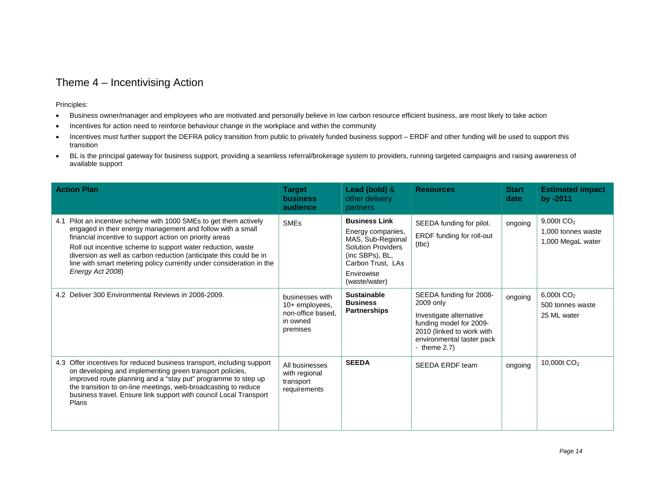# Theme 4 – Incentivising Action

- Business owner/manager and employees who are motivated and personally believe in low carbon resource efficient business, are most likely to take action
- Incentives for action need to reinforce behaviour change in the workplace and within the community
- Incentives must further support the DEFRA policy transition from public to privately funded business support ERDF and other funding will be used to support this transition
- BL is the principal gateway for business support, providing a seamless referral/brokerage system to providers, running targeted campaigns and raising awareness of available support

| <b>Action Plan</b>                                                                                                                                                                                                                                                                                                                                                                                                             | <b>Target</b><br><b>business</b><br>audience                                   | Lead (bold) &<br>other delivery<br><b>partners</b>                                                                                                                 | <b>Resources</b>                                                                                                                                                        | <b>Start</b><br>date | <b>Estimated impact</b><br>by -2011                      |
|--------------------------------------------------------------------------------------------------------------------------------------------------------------------------------------------------------------------------------------------------------------------------------------------------------------------------------------------------------------------------------------------------------------------------------|--------------------------------------------------------------------------------|--------------------------------------------------------------------------------------------------------------------------------------------------------------------|-------------------------------------------------------------------------------------------------------------------------------------------------------------------------|----------------------|----------------------------------------------------------|
| Pilot an incentive scheme with 1000 SMEs to get them actively<br>4.1<br>engaged in their energy management and follow with a small<br>financial incentive to support action on priority areas<br>Roll out incentive scheme to support water reduction, waste<br>diversion as well as carbon reduction (anticipate this could be in<br>line with smart metering policy currently under consideration in the<br>Energy Act 2008) | <b>SME<sub>s</sub></b>                                                         | <b>Business Link</b><br>Energy companies,<br>MAS, Sub-Regional<br><b>Solution Providers</b><br>(inc SBPs), BL,<br>Carbon Trust, LAs<br>Envirowise<br>(waste/water) | SEEDA funding for pilot.<br>ERDF funding for roll-out<br>(tbc)                                                                                                          | ongoing              | 9,000 $t CO2$<br>1,000 tonnes waste<br>1,000 MegaL water |
| 4.2 Deliver 300 Environmental Reviews in 2008-2009.                                                                                                                                                                                                                                                                                                                                                                            | businesses with<br>10+ employees,<br>non-office based.<br>in owned<br>premises | <b>Sustainable</b><br><b>Business</b><br><b>Partnerships</b>                                                                                                       | SEEDA funding for 2008-<br>2009 only<br>Investigate alternative<br>funding model for 2009-<br>2010 (linked to work with<br>environmental taster pack<br>- theme $2.7$ ) | ongoing              | 6,000t $CO2$<br>500 tonnes waste<br>25 ML water          |
| 4.3 Offer incentives for reduced business transport, including support<br>on developing and implementing green transport policies,<br>improved route planning and a "stay put" programme to step up<br>the transition to on-line meetings, web-broadcasting to reduce<br>business travel. Ensure link support with council Local Transport<br>Plans                                                                            | All businesses<br>with regional<br>transport<br>requirements                   | <b>SEEDA</b>                                                                                                                                                       | SEEDA ERDF team                                                                                                                                                         | ongoing              | 10,000t CO <sub>2</sub>                                  |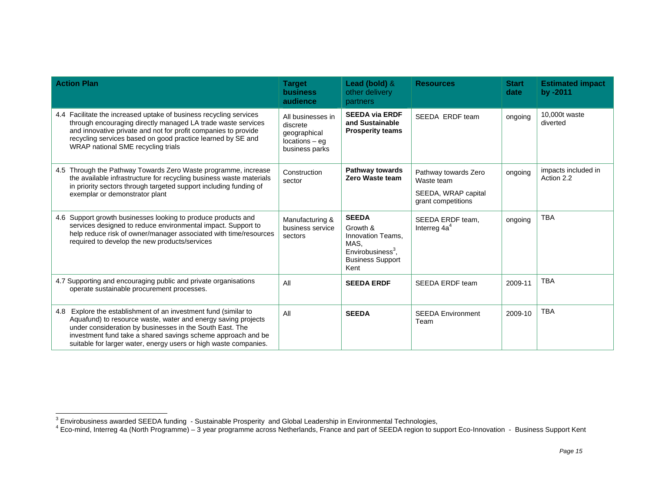| <b>Action Plan</b>                                                                                                                                                                                                                                                                                                                  | <b>Target</b><br><b>business</b><br>audience                                        | Lead (bold) &<br>other delivery<br>partners                                                                               | <b>Resources</b>                                                                | <b>Start</b><br>date | <b>Estimated impact</b><br>by -2011 |
|-------------------------------------------------------------------------------------------------------------------------------------------------------------------------------------------------------------------------------------------------------------------------------------------------------------------------------------|-------------------------------------------------------------------------------------|---------------------------------------------------------------------------------------------------------------------------|---------------------------------------------------------------------------------|----------------------|-------------------------------------|
| 4.4 Facilitate the increased uptake of business recycling services<br>through encouraging directly managed LA trade waste services<br>and innovative private and not for profit companies to provide<br>recycling services based on good practice learned by SE and<br>WRAP national SME recycling trials                           | All businesses in<br>discrete<br>geographical<br>$locations - eq$<br>business parks | <b>SEEDA via ERDF</b><br>and Sustainable<br><b>Prosperity teams</b>                                                       | SEEDA ERDF team                                                                 | ongoing              | 10,000t waste<br>diverted           |
| 4.5 Through the Pathway Towards Zero Waste programme, increase<br>the available infrastructure for recycling business waste materials<br>in priority sectors through targeted support including funding of<br>exemplar or demonstrator plant                                                                                        | Construction<br>sector                                                              | Pathway towards<br>Zero Waste team                                                                                        | Pathway towards Zero<br>Waste team<br>SEEDA, WRAP capital<br>grant competitions | ongoing              | impacts included in<br>Action 2.2   |
| 4.6 Support growth businesses looking to produce products and<br>services designed to reduce environmental impact. Support to<br>help reduce risk of owner/manager associated with time/resources<br>required to develop the new products/services                                                                                  | Manufacturing &<br>business service<br>sectors                                      | <b>SEEDA</b><br>Growth &<br>Innovation Teams,<br>MAS.<br>Envirobusiness <sup>3</sup> .<br><b>Business Support</b><br>Kent | SEEDA ERDF team,<br>Interreg $4a4$                                              | ongoing              | <b>TBA</b>                          |
| 4.7 Supporting and encouraging public and private organisations<br>operate sustainable procurement processes.                                                                                                                                                                                                                       | All                                                                                 | <b>SEEDA ERDF</b>                                                                                                         | SEEDA ERDF team                                                                 | 2009-11              | <b>TBA</b>                          |
| Explore the establishment of an investment fund (similar to<br>4.8<br>Aquafund) to resource waste, water and energy saving projects<br>under consideration by businesses in the South East. The<br>investment fund take a shared savings scheme approach and be<br>suitable for larger water, energy users or high waste companies. | All                                                                                 | <b>SEEDA</b>                                                                                                              | <b>SEEDA Environment</b><br>Team                                                | 2009-10              | <b>TBA</b>                          |

a<br><sup>3</sup> Envirobusiness awarded SEEDA funding - Sustainable Prosperity and Global Leadership in Environmental Technologies,<br><sup>4</sup> Eco-mind, Interreg 4a (North Programme) – 3 year programme across Netherlands, France and part of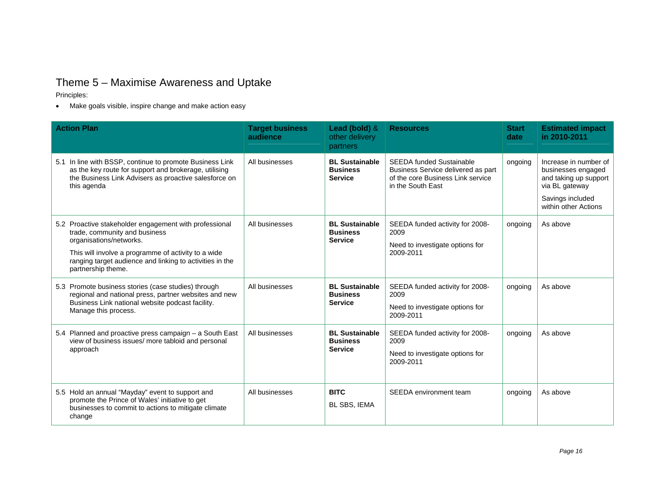# Theme 5 – Maximise Awareness and Uptake

Principles:

• Make goals visible, inspire change and make action easy

| <b>Action Plan</b>                                                                                                                                                                                                                    | <b>Target business</b><br>audience | Lead (bold) &<br>other delivery<br><b>partners</b>         | <b>Resources</b>                                                                                                                | <b>Start</b><br>date | <b>Estimated impact</b><br>in 2010-2011                                                |
|---------------------------------------------------------------------------------------------------------------------------------------------------------------------------------------------------------------------------------------|------------------------------------|------------------------------------------------------------|---------------------------------------------------------------------------------------------------------------------------------|----------------------|----------------------------------------------------------------------------------------|
| 5.1 In line with BSSP, continue to promote Business Link<br>as the key route for support and brokerage, utilising<br>the Business Link Advisers as proactive salesforce on<br>this agenda                                             | All businesses                     | <b>BL Sustainable</b><br><b>Business</b><br><b>Service</b> | <b>SEEDA funded Sustainable</b><br>Business Service delivered as part<br>of the core Business Link service<br>in the South East | ongoing              | Increase in number of<br>businesses engaged<br>and taking up support<br>via BL gateway |
|                                                                                                                                                                                                                                       |                                    |                                                            |                                                                                                                                 |                      | Savings included<br>within other Actions                                               |
| 5.2 Proactive stakeholder engagement with professional<br>trade, community and business<br>organisations/networks.<br>This will involve a programme of activity to a wide<br>ranging target audience and linking to activities in the | All businesses                     | <b>BL Sustainable</b><br><b>Business</b><br><b>Service</b> | SEEDA funded activity for 2008-<br>2009<br>Need to investigate options for<br>2009-2011                                         | ongoing              | As above                                                                               |
| partnership theme.<br>5.3 Promote business stories (case studies) through                                                                                                                                                             | All businesses                     | <b>BL Sustainable</b>                                      | SEEDA funded activity for 2008-                                                                                                 | ongoing              | As above                                                                               |
| regional and national press, partner websites and new<br>Business Link national website podcast facility.<br>Manage this process.                                                                                                     |                                    | <b>Business</b><br><b>Service</b>                          | 2009<br>Need to investigate options for<br>2009-2011                                                                            |                      |                                                                                        |
| 5.4 Planned and proactive press campaign - a South East<br>view of business issues/ more tabloid and personal                                                                                                                         | All businesses                     | <b>BL Sustainable</b><br><b>Business</b>                   | SEEDA funded activity for 2008-<br>2009                                                                                         | ongoing              | As above                                                                               |
| approach                                                                                                                                                                                                                              |                                    | <b>Service</b>                                             | Need to investigate options for<br>2009-2011                                                                                    |                      |                                                                                        |
| 5.5 Hold an annual "Mayday" event to support and<br>promote the Prince of Wales' initiative to get<br>businesses to commit to actions to mitigate climate<br>change                                                                   | All businesses                     | <b>BITC</b><br>BL SBS, IEMA                                | SEEDA environment team                                                                                                          | ongoing              | As above                                                                               |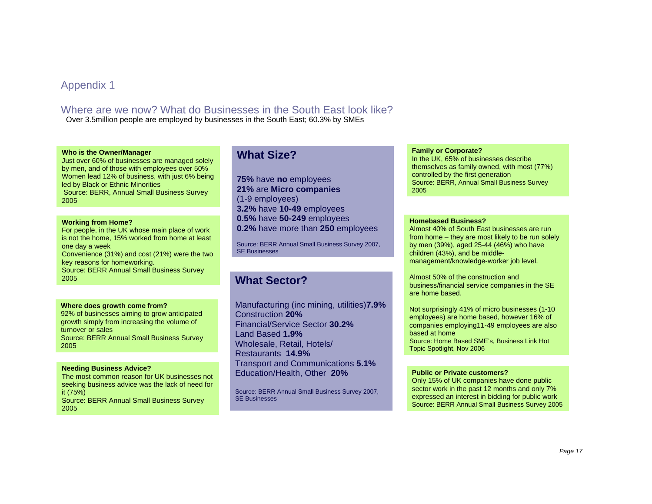# Where are we now? What do Businesses in the South East look like?

Over 3.5million people are employed by businesses in the South East; 60.3% by SMEs

#### **Who is the Owner/Manager**

Just over 60% of businesses are managed solely by men, and of those with employees over 50% Women lead 12% of business, with just 6% being led by Black or Ethnic Minorities Source: BERR, Annual Small Business Survey 2005

#### **Working from Home?**

For people, in the UK whose main place of work is not the home, 15% worked from home at least one day a week Convenience (31%) and cost (21%) were the two key reasons for homeworking. Source: BERR Annual Small Business Survey 2005

### **Where does growth come from?**

92% of businesses aiming to grow anticipated growth simply from increasing the volume of turnover or sales Source: BERR Annual Small Business Survey 2005

### **Needing Business Advice?**

The most common reason for UK businesses not seeking business advice was the lack of need for it (75%) Source: BERR Annual Small Business Survey 2005

# **What Size?**

**75%** have **no** employees **21%** are **Micro companies**  (1-9 employees) **3.2%** have **10-49** employees **0.5%** have **50-249** employees **0.2%** have more than **250** employees

Source: BERR Annual Small Business Survey 2007, SE Businesses

# **What Sector?**

Manufacturing (inc mining, utilities)**7.9%**  Construction **20%** Financial/Service Sector **30.2%** Land Based **1.9%** Wholesale, Retail, Hotels/ Restaurants **14.9%**Transport and Communications **5.1%**  Education/Health, Other **20%** 

Source: BERR Annual Small Business Survey 2007, SE Businesses

#### **Family or Corporate?**

In the UK, 65% of businesses describe themselves as family owned, with most (77%) controlled by the first generation Source: BERR, Annual Small Business Survey 2005

### **Homebased Business?**

Almost 40% of South East businesses are run from home – they are most likely to be run solely by men (39%), aged 25-44 (46%) who have children (43%), and be middlemanagement/knowledge-worker job level.

Almost 50% of the construction and business/financial service companies in the SE are home based.

Not surprisingly 41% of micro businesses (1-10 employees) are home based, however 16% of companies employing11-49 employees are also based at home Source: Home Based SME's, Business Link Hot Topic Spotlight, Nov 2006

### **Public or Private customers?**

Only 15% of UK companies have done public sector work in the past 12 months and only 7% expressed an interest in bidding for public work Source: BERR Annual Small Business Survey 2005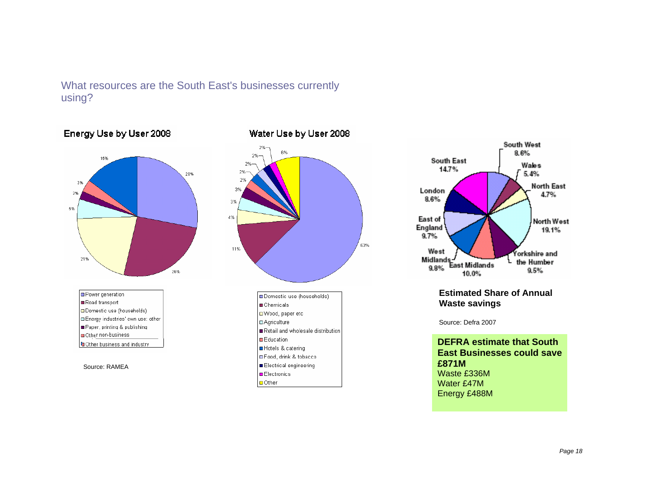# What resources are the South East's businesses currently using?

### Energy Use by User 2008



Other non-business **In** Other business and industry

Source: RAMEA







Source: Defra 2007

**DEFRA estimate that South East Businesses could save £871M**Waste £336M Water £47M Energy £488M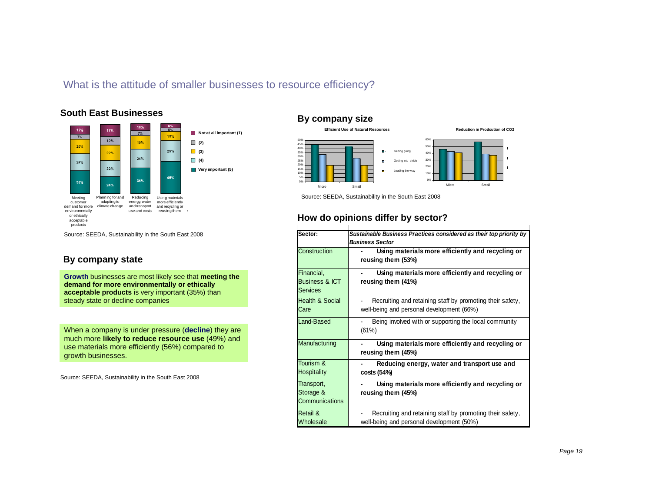# What is the attitude of smaller businesses to resource efficiency?

### **South East Businesses**



**By company size**



Source: SEEDA, Sustainability in the South East 2008

### **How do opinions differ by sector?**

**Sector:** *Sustainable Business Practices considered as their top priority by Business Sector* Construction **- Using materials more efficiently and recycling or reusing them (53%)** Financial, Business & ICT **Services - Using materials more efficiently and recycling or reusing them (41%)** Health & Social **Care** - Recruiting and retaining staff by promoting their safety, well-being and personal development (66%) Land-Based - Being involved with or supporting the local community (61%) Manufacturing **- Using materials more efficiently and recycling or reusing them (45%)** Tourism & **Hospitality Reducing energy, water and transport use and costs (54%)** Transport, Storage & **Communications - Using materials more efficiently and recycling or reusing them (45%)** Retail & **Wholesale** - Recruiting and retaining staff by promoting their safety, well-being and personal development (50%)

Source: SEEDA, Sustainability in the South East 2008

### **By company state**

**Growth** businesses are most likely see that **meeting the demand for more environmentally or ethically acceptable products** is very important (35%) than steady state or decline companies

When a company is under pressure (**decline**) they are much more **likely to reduce resource use** (49%) and use materials more efficiently (56%) compared to growth businesses.

Source: SEEDA, Sustainability in the South East 2008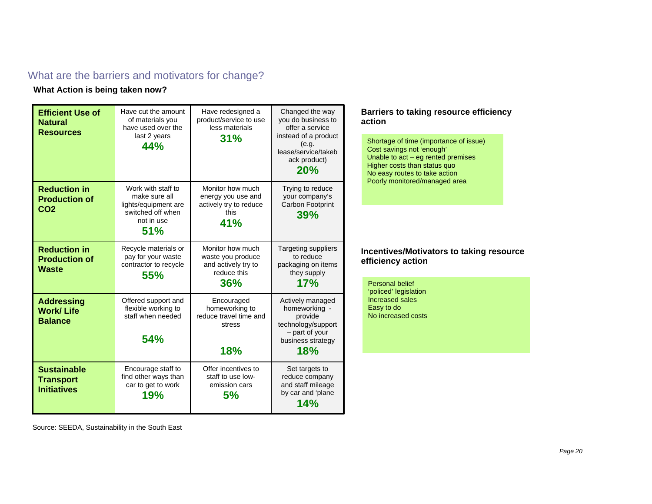# What are the barriers and motivators for change?

**What Action is being taken now?** 

| <b>Efficient Use of</b><br><b>Natural</b><br><b>Resources</b>  | Have cut the amount<br>of materials you<br>have used over the<br>last 2 years<br>44%                  | Have redesigned a<br>product/service to use<br>less materials<br>31%               | Changed the way<br>you do business to<br>offer a service<br>instead of a product<br>(e.g.<br>lease/service/takeb<br>ack product)<br>20% |
|----------------------------------------------------------------|-------------------------------------------------------------------------------------------------------|------------------------------------------------------------------------------------|-----------------------------------------------------------------------------------------------------------------------------------------|
| <b>Reduction in</b><br><b>Production of</b><br>CO <sub>2</sub> | Work with staff to<br>make sure all<br>lights/equipment are<br>switched off when<br>not in use<br>51% | Monitor how much<br>energy you use and<br>actively try to reduce<br>this<br>41%    | Trying to reduce<br>your company's<br><b>Carbon Footprint</b><br>39%                                                                    |
| <b>Reduction in</b><br><b>Production of</b><br><b>Waste</b>    | Recycle materials or<br>pay for your waste<br>contractor to recycle<br>55%                            | Monitor how much<br>waste you produce<br>and actively try to<br>reduce this<br>36% | <b>Targeting suppliers</b><br>to reduce<br>packaging on items<br>they supply<br>17%                                                     |
| <b>Addressing</b><br><b>Work/Life</b><br><b>Balance</b>        | Offered support and<br>flexible working to<br>staff when needed<br>54%                                | Encouraged<br>homeworking to<br>reduce travel time and<br>stress<br>18%            | Actively managed<br>homeworking -<br>provide<br>technology/support<br>- part of your<br>business strategy<br>18%                        |
| <b>Sustainable</b><br><b>Transport</b><br><b>Initiatives</b>   | Encourage staff to<br>find other ways than<br>car to get to work<br>19%                               | Offer incentives to<br>staff to use low-<br>emission cars<br>5%                    | Set targets to<br>reduce company<br>and staff mileage<br>by car and 'plane<br>14%                                                       |

### **Barriers to taking resource efficiency action**

Shortage of time (importance of issue) Cost savings not 'enough' Unable to act – eg rented premises Higher costs than status quo No easy routes to take action Poorly monitored/managed area

### **Incentives/Motivators to taking resource efficiency action**

Personal belief 'policed' legislation Increased sales Easy to do No increased costs

Source: SEEDA, Sustainability in the South East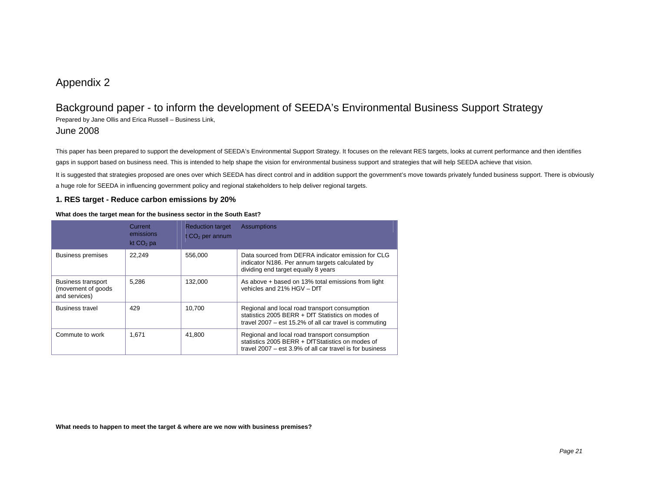# Background paper - to inform the development of SEEDA's Environmental Business Support Strategy

Prepared by Jane Ollis and Erica Russell – Business Link, June 2008

This paper has been prepared to support the development of SEEDA's Environmental Support Strategy. It focuses on the relevant RES targets, looks at current performance and then identifies gaps in support based on business need. This is intended to help shape the vision for environmental business support and strategies that will help SEEDA achieve that vision.

It is suggested that strategies proposed are ones over which SEEDA has direct control and in addition support the government's move towards privately funded business support. There is obviously a huge role for SEEDA in influencing government policy and regional stakeholders to help deliver regional targets.

### **1. RES target - Reduce carbon emissions by 20%**

#### **What does the target mean for the business sector in the South East?**

|                                                                   | Current<br>emissions<br>kt $CO2$ pa | <b>Reduction target</b><br>t $CO2$ per annum | <b>Assumptions</b>                                                                                                                                            |
|-------------------------------------------------------------------|-------------------------------------|----------------------------------------------|---------------------------------------------------------------------------------------------------------------------------------------------------------------|
| <b>Business premises</b>                                          | 22.249                              | 556.000                                      | Data sourced from DEFRA indicator emission for CLG<br>indicator N186. Per annum targets calculated by<br>dividing end target equally 8 years                  |
| <b>Business transport</b><br>(movement of goods)<br>and services) | 5.286                               | 132.000                                      | As above + based on 13% total emissions from light<br>vehicles and 21% HGV - DfT                                                                              |
| <b>Business travel</b>                                            | 429                                 | 10,700                                       | Regional and local road transport consumption<br>statistics 2005 BERR + DfT Statistics on modes of<br>travel 2007 – est 15.2% of all car travel is commuting  |
| Commute to work                                                   | 1.671                               | 41.800                                       | Regional and local road transport consumption<br>statistics 2005 BERR + DfTStatistics on modes of<br>travel 2007 – est 3.9% of all car travel is for business |

**What needs to happen to meet the target & where are we now with business premises?**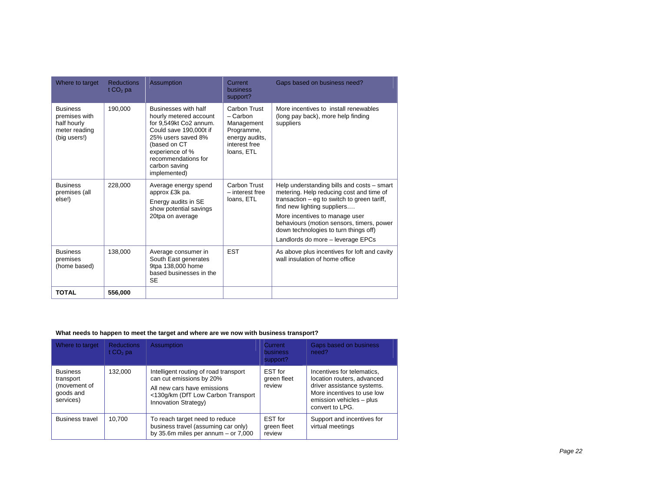| Where to target                                                                  | <b>Reductions</b><br>t $CO2$ pa | Assumption                                                                                                                                                                                                          | Current<br>business<br>support?                                                                       | Gaps based on business need?                                                                                                                                                                                                                                                                                                        |
|----------------------------------------------------------------------------------|---------------------------------|---------------------------------------------------------------------------------------------------------------------------------------------------------------------------------------------------------------------|-------------------------------------------------------------------------------------------------------|-------------------------------------------------------------------------------------------------------------------------------------------------------------------------------------------------------------------------------------------------------------------------------------------------------------------------------------|
| <b>Business</b><br>premises with<br>half hourly<br>meter reading<br>(big users!) | 190.000                         | Businesses with half<br>hourly metered account<br>for 9,549kt Co2 annum.<br>Could save 190,000t if<br>25% users saved 8%<br>(based on CT<br>experience of %<br>recommendations for<br>carbon saving<br>implemented) | Carbon Trust<br>- Carbon<br>Management<br>Programme,<br>energy audits,<br>interest free<br>loans, ETL | More incentives to install renewables<br>(long pay back), more help finding<br>suppliers                                                                                                                                                                                                                                            |
| <b>Business</b><br>premises (all<br>else!)                                       | 228.000                         | Average energy spend<br>approx £3k pa.<br>Energy audits in SE<br>show potential savings<br>20tpa on average                                                                                                         | Carbon Trust<br>- interest free<br>loans, ETL                                                         | Help understanding bills and costs - smart<br>metering. Help reducing cost and time of<br>transaction $-$ eg to switch to green tariff,<br>find new lighting suppliers<br>More incentives to manage user<br>behaviours (motion sensors, timers, power<br>down technologies to turn things off)<br>Landlords do more - leverage EPCs |
| <b>Business</b><br>premises<br>(home based)                                      | 138.000                         | Average consumer in<br>South East generates<br>9tpa 138,000 home<br>based businesses in the<br><b>SE</b>                                                                                                            | <b>EST</b>                                                                                            | As above plus incentives for loft and cavity<br>wall insulation of home office                                                                                                                                                                                                                                                      |
| <b>TOTAL</b>                                                                     | 556,000                         |                                                                                                                                                                                                                     |                                                                                                       |                                                                                                                                                                                                                                                                                                                                     |

### **What needs to happen to meet the target and where are we now with business transport?**

| Where to target                                                        | <b>Reductions</b><br>t $CO2$ pa | <b>Assumption</b>                                                                                                                                               | Current<br><b>business</b><br>support? | Gaps based on business<br>need?                                                                                                                                     |
|------------------------------------------------------------------------|---------------------------------|-----------------------------------------------------------------------------------------------------------------------------------------------------------------|----------------------------------------|---------------------------------------------------------------------------------------------------------------------------------------------------------------------|
| <b>Business</b><br>transport<br>(movement of<br>goods and<br>services) | 132,000                         | Intelligent routing of road transport<br>can cut emissions by 20%<br>All new cars have emissions<br><130g/km (DfT Low Carbon Transport)<br>Innovation Strategy) | EST for<br>green fleet<br>review       | Incentives for telematics,<br>location routers, advanced<br>driver assistance systems.<br>More incentives to use low<br>emission vehicles - plus<br>convert to LPG. |
| <b>Business travel</b>                                                 | 10.700                          | To reach target need to reduce<br>business travel (assuming car only)<br>by 35.6m miles per annum $-$ or 7,000                                                  | EST for<br>green fleet<br>review       | Support and incentives for<br>virtual meetings                                                                                                                      |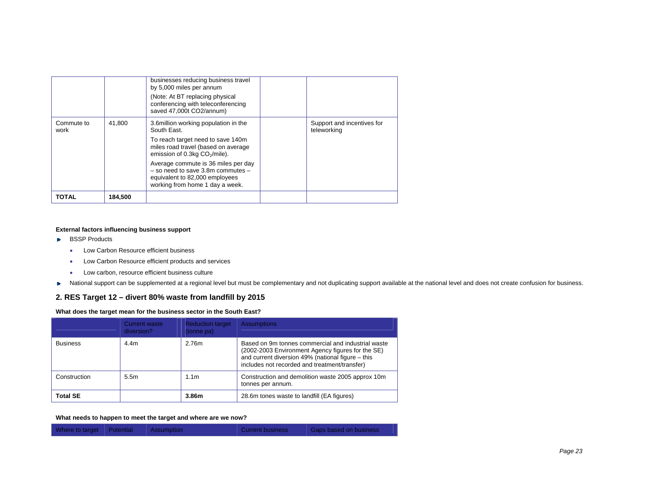| TOTAL              | 184,500 |                                                                                                                                                   |                                           |
|--------------------|---------|---------------------------------------------------------------------------------------------------------------------------------------------------|-------------------------------------------|
|                    |         | Average commute is 36 miles per day<br>$-$ so need to save 3.8m commutes $-$<br>equivalent to 82,000 employees<br>working from home 1 day a week. |                                           |
|                    |         | To reach target need to save 140m<br>miles road travel (based on average<br>emission of 0.3kg CO <sub>2</sub> /mile).                             |                                           |
| Commute to<br>work | 41,800  | 3.6 million working population in the<br>South East.                                                                                              | Support and incentives for<br>teleworking |
|                    |         | (Note: At BT replacing physical<br>conferencing with teleconferencing<br>saved 47,000t CO2/annum)                                                 |                                           |
|                    |         | businesses reducing business travel<br>by 5,000 miles per annum                                                                                   |                                           |

#### **External factors influencing business support**

- BSSP Products
	- Low Carbon Resource efficient business
	- •Low Carbon Resource efficient products and services
	- Low carbon, resource efficient business culture
- In National support can be supplemented at a regional level but must be complementary and not duplicating support available at the national level and does not create confusion for business.

### **2. RES Target 12 – divert 80% waste from landfill by 2015**

#### **What does the target mean for the business sector in the South East?**

|                 | <b>Current waste</b><br>diversion? | <b>Reduction target</b><br>(tonne pa) | <b>Assumptions</b>                                                                                                                                                                                            |
|-----------------|------------------------------------|---------------------------------------|---------------------------------------------------------------------------------------------------------------------------------------------------------------------------------------------------------------|
| <b>Business</b> | 4.4m                               | 2.76m                                 | Based on 9m tonnes commercial and industrial waste<br>(2002-2003 Environment Agency figures for the SE)<br>and current diversion 49% (national figure - this<br>includes not recorded and treatment/transfer) |
| Construction    | 5.5m                               | 1.1 <sub>m</sub>                      | Construction and demolition waste 2005 approx 10m<br>tonnes per annum.                                                                                                                                        |
| <b>Total SE</b> |                                    | 3.86m                                 | 28.6m tones waste to landfill (EA figures)                                                                                                                                                                    |

#### **What needs to happen to meet the target and where are we now?**

| Where to target Potential Assumption |  |  |  | <b>Current business</b> | Gaps based on business |
|--------------------------------------|--|--|--|-------------------------|------------------------|
|--------------------------------------|--|--|--|-------------------------|------------------------|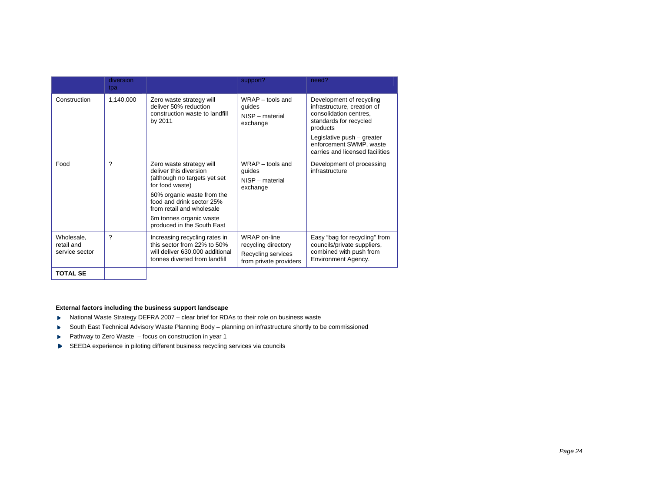|                                            | diversion<br>tpa |                                                                                                                                                                                                                                                        | support?                                                                            | need?                                                                                                                                                                                                               |
|--------------------------------------------|------------------|--------------------------------------------------------------------------------------------------------------------------------------------------------------------------------------------------------------------------------------------------------|-------------------------------------------------------------------------------------|---------------------------------------------------------------------------------------------------------------------------------------------------------------------------------------------------------------------|
| Construction                               | 1,140,000        | Zero waste strategy will<br>deliver 50% reduction<br>construction waste to landfill<br>by 2011                                                                                                                                                         | WRAP - tools and<br>guides<br>NISP - material<br>exchange                           | Development of recycling<br>infrastructure, creation of<br>consolidation centres,<br>standards for recycled<br>products<br>Legislative push - greater<br>enforcement SWMP, waste<br>carries and licensed facilities |
| Food                                       | ?                | Zero waste strategy will<br>deliver this diversion<br>(although no targets yet set<br>for food waste)<br>60% organic waste from the<br>food and drink sector 25%<br>from retail and wholesale<br>6m tonnes organic waste<br>produced in the South East | $WRAP -$ tools and<br>guides<br>NISP - material<br>exchange                         | Development of processing<br>infrastructure                                                                                                                                                                         |
| Wholesale.<br>retail and<br>service sector | ?                | Increasing recycling rates in<br>this sector from 22% to 50%<br>will deliver 630,000 additional<br>tonnes diverted from landfill                                                                                                                       | WRAP on-line<br>recycling directory<br>Recycling services<br>from private providers | Easy "bag for recycling" from<br>councils/private suppliers,<br>combined with push from<br>Environment Agency.                                                                                                      |
| <b>TOTAL SE</b>                            |                  |                                                                                                                                                                                                                                                        |                                                                                     |                                                                                                                                                                                                                     |

### **External factors including the business support landscape**

- National Waste Strategy DEFRA 2007 clear brief for RDAs to their role on business waste
- South East Technical Advisory Waste Planning Body planning on infrastructure shortly to be commissioned
- ▶ Pathway to Zero Waste focus on construction in year 1
- SEEDA experience in piloting different business recycling services via councils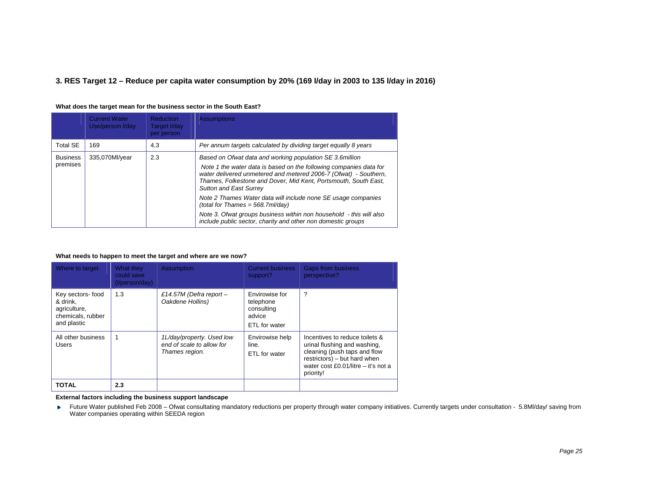### **3. RES Target 12 – Reduce per capita water consumption by 20% (169 l/day in 2003 to 135 l/day in 2016)**

|                             | <b>Current Water</b><br>Use/person I/day | <b>Reduction</b><br>Target I/day<br>per person | <b>Assumptions</b>                                                                                                                                                                                                                                                                                     |
|-----------------------------|------------------------------------------|------------------------------------------------|--------------------------------------------------------------------------------------------------------------------------------------------------------------------------------------------------------------------------------------------------------------------------------------------------------|
| <b>Total SE</b>             | 169                                      | 4.3                                            | Per annum targets calculated by dividing target equally 8 years                                                                                                                                                                                                                                        |
| <b>Business</b><br>premises | 335,070Ml/year                           | 2.3                                            | Based on Ofwat data and working population SE 3.6million<br>Note 1 the water data is based on the following companies data for<br>water delivered unmetered and metered 2006-7 (Ofwat) - Southern,<br>Thames, Folkestone and Dover, Mid Kent, Portsmouth, South East,<br><b>Sutton and East Surrey</b> |
|                             |                                          |                                                | Note 2 Thames Water data will include none SE usage companies<br>(total for Thames = $568.7$ ml/day)<br>Note 3. Ofwat groups business within non household - this will also<br>include public sector, charity and other non domestic groups                                                            |

#### **What does the target mean for the business sector in the South East?**

#### **What needs to happen to meet the target and where are we now?**

| Where to target                                                                   | What they<br>could save<br>$(I/\text{person/day})$ | Assumption                                                               | <b>Current business</b><br>support?                                  | <b>Gaps from business</b><br>perspective?                                                                                                                                            |
|-----------------------------------------------------------------------------------|----------------------------------------------------|--------------------------------------------------------------------------|----------------------------------------------------------------------|--------------------------------------------------------------------------------------------------------------------------------------------------------------------------------------|
| Key sectors- food<br>& drink,<br>agriculture,<br>chemicals, rubber<br>and plastic | 1.3                                                | £14.57M (Defra report $-$<br>Oakdene Hollins)                            | Envirowise for<br>telephone<br>consulting<br>advice<br>ETL for water | ?                                                                                                                                                                                    |
| All other business<br>Users                                                       |                                                    | 1L/day/property. Used low<br>end of scale to allow for<br>Thames region. | Envirowise help<br>line.<br>ETL for water                            | Incentives to reduce toilets &<br>urinal flushing and washing,<br>cleaning (push taps and flow<br>restrictors) – but hard when<br>water cost £0.01/litre $-$ it's not a<br>priority! |
| <b>TOTAL</b>                                                                      | 2.3                                                |                                                                          |                                                                      |                                                                                                                                                                                      |

#### **External factors including the business support landscape**

Future Water published Feb 2008 - Ofwat consultating mandatory reductions per property through water company initiatives. Currently targets under consultation - 5.8Ml/day/ saving from Water companies operating within SEEDA region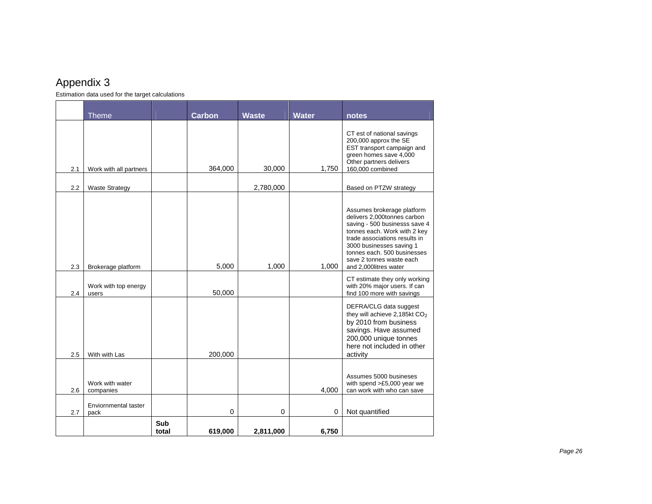Estimation data used for the target calculations

|     | <b>Theme</b>                  |              | Carbon  | <b>Waste</b> | <b>Water</b> | notes                                                                                                                                                                                                                                                                       |
|-----|-------------------------------|--------------|---------|--------------|--------------|-----------------------------------------------------------------------------------------------------------------------------------------------------------------------------------------------------------------------------------------------------------------------------|
| 2.1 | Work with all partners        |              | 364,000 | 30,000       | 1,750        | CT est of national savings<br>200,000 approx the SE<br>EST transport campaign and<br>green homes save 4,000<br>Other partners delivers<br>160,000 combined                                                                                                                  |
| 2.2 | <b>Waste Strategy</b>         |              |         | 2,780,000    |              | Based on PTZW strategy                                                                                                                                                                                                                                                      |
| 2.3 | Brokerage platform            |              | 5,000   | 1,000        | 1,000        | Assumes brokerage platform<br>delivers 2.000tonnes carbon<br>saving - 500 businesss save 4<br>tonnes each. Work with 2 key<br>trade associations results in<br>3000 businesses saving 1<br>tonnes each. 500 businesses<br>save 2 tonnes waste each<br>and 2,000litres water |
| 2.4 | Work with top energy<br>users |              | 50,000  |              |              | CT estimate they only working<br>with 20% major users. If can<br>find 100 more with savings                                                                                                                                                                                 |
| 2.5 | With with Las                 |              | 200,000 |              |              | DEFRA/CLG data suggest<br>they will achieve 2,185kt CO <sub>2</sub><br>by 2010 from business<br>savings. Have assumed<br>200,000 unique tonnes<br>here not included in other<br>activity                                                                                    |
| 2.6 | Work with water<br>companies  |              |         |              | 4,000        | Assumes 5000 busineses<br>with spend >£5,000 year we<br>can work with who can save                                                                                                                                                                                          |
| 2.7 | Enviornmental taster<br>pack  |              | 0       | 0            | $\Omega$     | Not quantified                                                                                                                                                                                                                                                              |
|     |                               | Sub<br>total | 619,000 | 2,811,000    | 6,750        |                                                                                                                                                                                                                                                                             |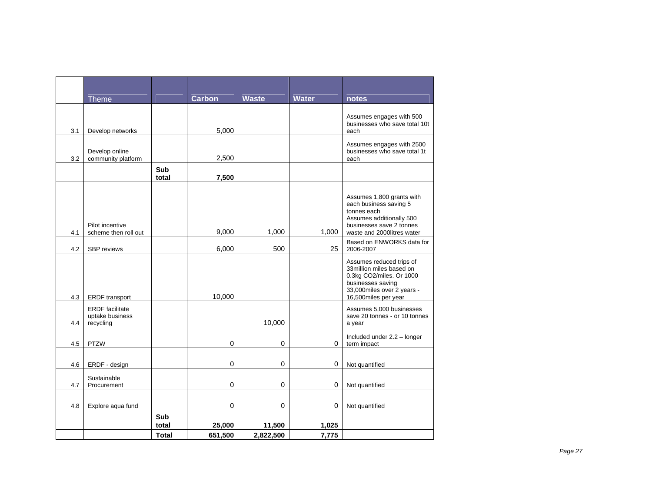|     | <b>Theme</b>                                           |              | Carbon      | <b>Waste</b> | <b>Water</b> | notes                                                                                                                                                        |
|-----|--------------------------------------------------------|--------------|-------------|--------------|--------------|--------------------------------------------------------------------------------------------------------------------------------------------------------------|
| 3.1 | Develop networks                                       |              | 5,000       |              |              | Assumes engages with 500<br>businesses who save total 10t<br>each                                                                                            |
| 3.2 | Develop online<br>community platform                   |              | 2,500       |              |              | Assumes engages with 2500<br>businesses who save total 1t<br>each                                                                                            |
|     |                                                        | Sub<br>total | 7,500       |              |              |                                                                                                                                                              |
| 4.1 | Pilot incentive<br>scheme then roll out                |              | 9,000       | 1,000        | 1,000        | Assumes 1,800 grants with<br>each business saving 5<br>tonnes each<br>Assumes additionally 500<br>businesses save 2 tonnes<br>waste and 2000litres water     |
| 4.2 | SBP reviews                                            |              | 6,000       | 500          | 25           | Based on ENWORKS data for<br>2006-2007                                                                                                                       |
| 4.3 | <b>ERDF</b> transport                                  |              | 10,000      |              |              | Assumes reduced trips of<br>33 million miles based on<br>0.3kg CO2/miles. Or 1000<br>businesses saving<br>33,000miles over 2 years -<br>16,500miles per year |
| 4.4 | <b>ERDF</b> facilitate<br>uptake business<br>recycling |              |             | 10.000       |              | Assumes 5,000 businesses<br>save 20 tonnes - or 10 tonnes<br>a year                                                                                          |
| 4.5 | <b>PTZW</b>                                            |              | 0           | $\Omega$     | 0            | Included under 2.2 - longer<br>term impact                                                                                                                   |
| 4.6 | ERDF - design                                          |              | $\mathbf 0$ | 0            | 0            | Not quantified                                                                                                                                               |
| 4.7 | Sustainable<br>Procurement                             |              | $\mathbf 0$ | $\mathbf 0$  | 0            | Not quantified                                                                                                                                               |
| 4.8 | Explore aqua fund                                      |              | $\mathbf 0$ | $\mathbf 0$  | 0            | Not quantified                                                                                                                                               |
|     |                                                        | Sub<br>total | 25,000      | 11,500       | 1,025        |                                                                                                                                                              |
|     |                                                        | <b>Total</b> | 651,500     | 2,822,500    | 7,775        |                                                                                                                                                              |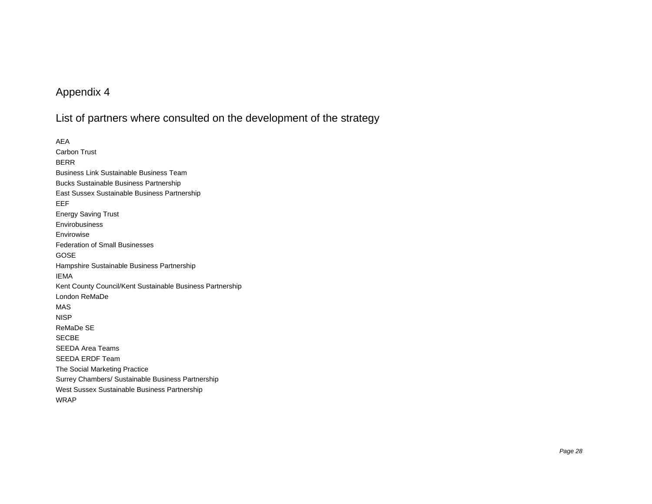List of partners where consulted on the development of the strategy

AEA Carbon Trust BERR Business Link Sustainable Business Team Bucks Sustainable Business Partnership East Sussex Sustainable Business Partnership EEF Energy Saving Trust Envirobusiness Envirowise Federation of Small Businesses GOSE Hampshire Sustainable Business Partnership IEMA Kent County Council/Kent Sustainable Business Partnership London ReMaDe MAS NISP ReMaDe SE SECBE SEEDA Area Teams SEEDA ERDF Team The Social Marketing Practice Surrey Chambers/ Sustainable Business Partnership West Sussex Sustainable Business Partnership WRAP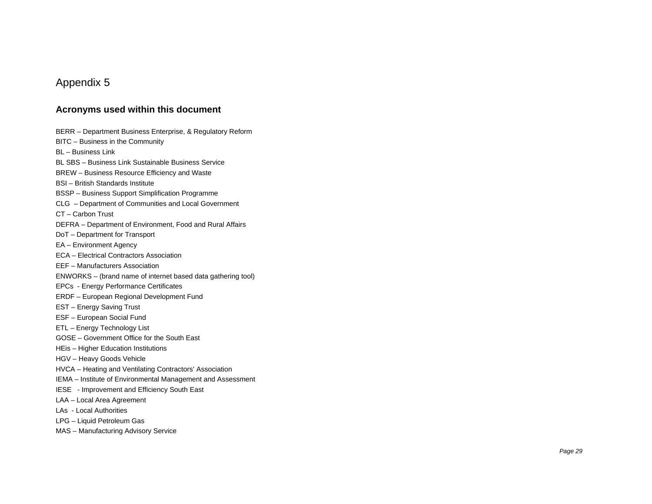### **Acronyms used within this document**

BERR – Department Business Enterprise, & Regulatory Reform BITC – Business in the Community BL – Business Link BL SBS – Business Link Sustainable Business Service BREW – Business Resource Efficiency and Waste BSI – British Standards Institute BSSP – Business Support Simplification Programme CLG – Department of Communities and Local Government CT – Carbon Trust DEFRA – Department of Environment, Food and Rural Affairs DoT – Department for Transport EA – Environment Agency ECA – Electrical Contractors Association EEF – Manufacturers Association ENWORKS – (brand name of internet based data gathering tool) EPCs - Energy Performance Certificates ERDF – European Regional Development Fund EST – Energy Saving Trust ESF – European Social Fund ETL – Energy Technology List GOSE – Government Office for the South East HEis – Higher Education Institutions HGV – Heavy Goods Vehicle HVCA – Heating and Ventilating Contractors' Association IEMA – Institute of Environmental Management and Assessment IESE - Improvement and Efficiency South East LAA – Local Area Agreement LAs - Local Authorities LPG – Liquid Petroleum Gas MAS – Manufacturing Advisory Service